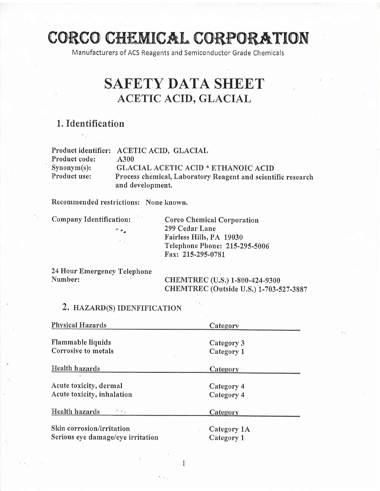# CORCO CHEMICAL CORPORATION

Manufacturers of ACS Reagents and Semiconductor Grade Chemicals

## SAFETY DATA SHEET ACETIC ACID. GLACIAL

## 1. Identification

|                | Product identifier: ACETIC ACID, GLACIAL                     |  |
|----------------|--------------------------------------------------------------|--|
| Product code:  | A300                                                         |  |
| $Synonym(s)$ : | <b>GLACIAL ACETIC ACID * ETHANOIC ACID</b>                   |  |
| Product use:   | Process chemical, Laboratory Reagent and scientific research |  |
|                | and development.                                             |  |

Recommended restrictions: None known.

Company Identification: Corco Chemical Corporation 299 Cedar Lane Fairless Hills, PA 19030 Telephone Phone: 215-295-5006 Fax: 2L5-295-0781

24 Hour Emergency Telephone

Number: CHEMTREC (U.S.) 1-800-424-9300 CHEMTREC (Outside U.S.) 1-703-527-3887

#### 2. HAZARD(S) IDENFIFICATION

| <b>Physical Hazards</b>                      | Category    |  |  |
|----------------------------------------------|-------------|--|--|
| Flammable liquids                            | Category 3  |  |  |
| Corrosive to metals                          | Category 1  |  |  |
| Health hazards                               | Category    |  |  |
| Acute toxicity, dermal                       | Category 4  |  |  |
| Acute toxicity, inhalation                   | Category 4  |  |  |
| Health hazards<br>$\mathcal{O}(\mathcal{A})$ | Category    |  |  |
| Skin corrosion/irritation                    | Category 1A |  |  |
| Serious eye damage/eye irritation            | Category 1  |  |  |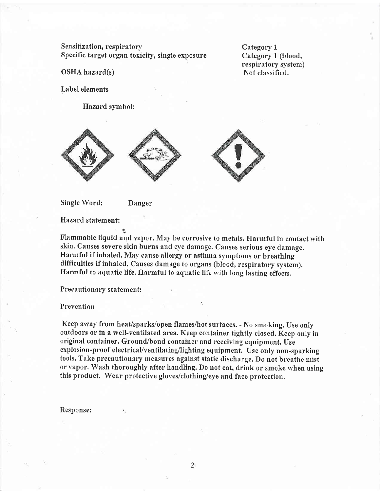Sensitization, respiratory Specific target organ toxicity, single exposure

Category <sup>1</sup> Category 1 (blood, respiratory system) Not classified.

OSHA hazard(s)

Label elements

Hazard symbol:







Single Word: Danger

9"

Hazard statement:

Flammable liquid and vapor. May be corrosive to metals. Harmful in contact with skin. causes severe skin burns and eye damage, Causes serious eye damage. Harmful if inhaled. May cause allergy or asthma symptoms or breathing difficulties if inhaled. Causes damage to organs (blood, respiratory system). Harmful to aquatic life, Harmful to aquatic life with long lasting effects.

Precautionary statement:

Prevention

Keep away from heat/sparks/open flames/hot surfaces. - No smoking. Use only outdoors or in a well-ventilated area. Keep container tightly closed, Keep only in original container. Ground/bond container and receiving equipment. Use explosion-proof electrical/ventilating/lighting equipment, Use only non-sparking tools. Take precautionary measures against static discharge. Do not breathe mist or Yapor. Wash thoroughly after handling. Do not eat, drink or smoke when using this product. Wear profective gloves/clothing/eye and face protection.

Response:

 $\overline{2}$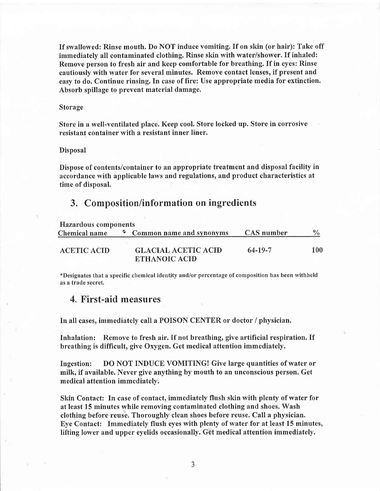If swallowed: Rinse mouth. Do NOT induce vomiting. If on skin (or hair): Take off immediately all contaminated clothing. Rinse skin with water/shower. If inhaled: Remove person to fresh air and keep comfortable for breathing. If in eyes: Rinse cautiously with water for several minutes. Remove contact lenses, if present and easy to do. Continue rinsing. In case of fire: Use appropriate media for extinction. Absorb spillage to prevent material damage.

#### Storage

Store in a well-ventilated place. Keep cool. Store locked up. Store in corrosive resistant container with a resistant inner liner.

#### Disposal

Dispose of contents/container to an appropriate treatment and disposal facility in accordance with applicable laws and regulations, and product characteristics at time of disposal.

#### 3. Composition/information on ingredients

| Hazardous components |  |                                                    |            |               |  |  |
|----------------------|--|----------------------------------------------------|------------|---------------|--|--|
| Chemical name        |  | * Common name and synonyms                         | CAS number | $\frac{0}{0}$ |  |  |
| <b>ACETIC ACID</b>   |  | <b>GLACIAL ACETIC ACID</b><br><b>ETHANOIC ACID</b> | 64-19-7    | 100           |  |  |

\*Designates that a specific chemical identity and/or percentage of composition has been withheld as a trade secret.

#### 4. First-aid measures

In all cases, immediately call a POISON CENTER or doctor / physician.

Inhalation: Remove to fresh air. If not breathing, give artificial respiration. If breathing is difficult, give Oxygen. Get medical attention immediately.

Ingestion: DO NOT INDUCE VOMITING! Give large quantities of water or milk, if available. Never give anything by mouth to an unconscious person. Get medical attention immediately.

Skin Contact: In case of contact, immediately flush skin with plenty of water for at least 15 minutes while removing contaminated clothing and shoes. Wash clothing before reuse. Thoroughly clean shoes before reuse. Call a physician. Eye Contact: Immediately flush eyes with plenty of water for at least 15 minutes, lifting lower and upper eyelids occasionally. Get medical attention immediately.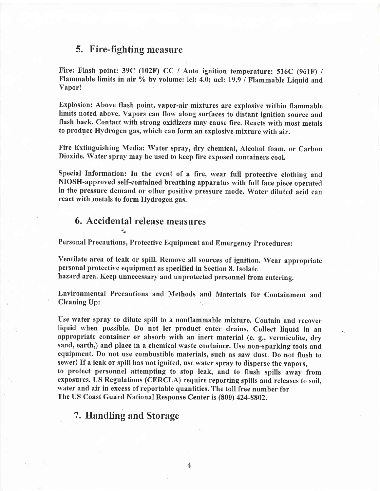#### 5. Fire-fighting measure

Fire: Flash point: 39C (102F) CC / Auto ignition temperature: 516C (961F) / Flammable limits in air % by volume: lel: 4.0; uel: 19.9 / Flammable Liquid and Vapor!

Explosion: Above flash point, vapor-air mixtures are explosive within flammable limits noted above. Vapors can flow along surfaces to distant ignition source and flash back. Contact with strong oxidizers may cause fire. Reacts with most metals to produce Hydrogen gas, which can form an explosive mixture with air.

Fire Extinguishing Media: Water spray, dry chemical, Alcohol foam, or Carbon Dioxide. water spray may be used to keep fire exposed containers cool.

Special Information: In the event of a fire, wear full protective clothing and NlOSH-approved self-contained breathing apparatus with full face piece operated in the pressure demand or other positive pressure mode. Water diluted acid can react with metals to form Hydrogen gas.

### 6. Accidental release measures

Personal Precautions, Protective Equipment and Emergency Procedures:

Ventilate area of leak or spill. Remove all sources of ignition. Wear appropriate personal protective equipment as specified in Section 8. Isolate hazard area. Keep unnecessary and unprotected personnel from entering.

Environmental Precautions and Methods and Materials for Containment and Cleaning Up:

Use water spray to dilute spill to a nonflammable mixture. Contain and recover liquid when possible. Do not let product enter drains. Collect Iiquid in an appropriate container or absorb with an inert material (e. g., vermiculite, dry sand, earth,) and place in a chemical waste container. Use non-sparking tools and equipment. Do not use combustible materials, such as saw dust. Do not flush to sewer! If a leak or spill has not ignited, use water spray to disperse the vapors, to protect personnel attempting to stop leak, and to flush spills away from exposures. US Regulations (CERCLA) require reporting spills and releases to soil, water and air in excess of reportable quantities. The toll free number for The US Coast Guard National Response Center is (S00) 424-8802.

## 7. Handling and Storage

 $\overline{4}$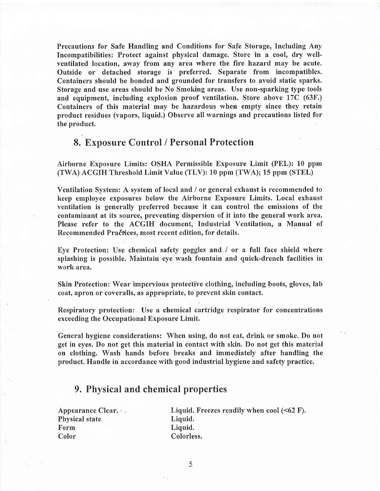Precautions for Safe Handling and Conditions for Safe Storage, Including Any Incompatibilities: Protect against physical damage. Store in a cool, dry wellventilated location, away from any area where the fire hazard may be acute. Outside or detached storage is preferred. Separate from incompatibles. Containers should be bonded and grounded for transfers to avoid static sparks. Storage and use areas should be No Smoking areas. Use non-sparking fype tools and equipment, including explosion proof ventilation. Store above 17C (63F.) Containers of this material may be hazardous when empty since they retain product residues (vapors, liquid.) Observe all warnings and precautions listed for the product.

#### 8. Exposure Control / Personal Protection

Airborne Exposure Limits: OSHA Permissible Exposure Limit (PEL): 10 ppm (TWA) ACGIH Threshold Limit Value (TLV): 10 ppm (TWA); 15 ppm (STEL)

Ventilation System: A system of local and / or general exhaust is recommended to keep employee exposures below the Airborne Exposure Limits. Local exhaust ventilation is generally preferred because it can control the emissions of the contaminant at its source, preventing dispersion of it into the general work area, Please refer to the ACGIH document, Industrial Ventilation, a Manual of Recommended Pradfices, most recent edition, for details.

Eye Protection: Use chemical safety goggles and / or a full face shield where splashing is possible. Maintain eye wash fountain and quick-drench facilities in work area.

Skin Protection: Wear impervious protective clothing, including boots, gloves, lab coat, apron or coveralls, as appropriate, to prevent skin contact.

Respiratory protection: Use a chemical cartridge respirator for concentrations exceeding the Occupational Exposure Limit.

General hygiene considerations: When using, do not eat, drink or smoke. Do not get in eyes. Do not get this material in contact with skin. Do not get this material on clothing. Wash hands before breaks and immediately after handling the product. Handle in accordance with good industrial hygiene and safefy practice.

#### 9. Physical and chemical properties

Appearance Clear. Physical state Form Color

Liquid. Freezes readily when cool (<62 F). Liquid. Liquid. Colorless.

5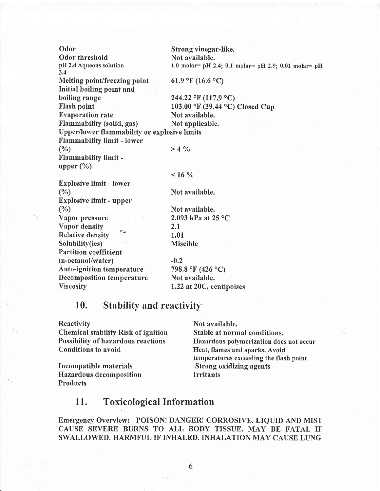Odor Strong vinegar-like. Odor threshold<br>
pH 2.4 Aqueous solution 1.0 molar= pH 2 1.0 molar= pH 2.4; 0.1 molar= pH 2.9; 0.01 molar= pH 3,4 Melting point/freezing point  $61.9 \text{ }^{\circ}F (16.6 \text{ }^{\circ}C)$ Initial boiling point and boiling range 244.22 °F (117.9 °C)<br>Flash point 103.00 °F (39.44 °C) 103.00 °F (39.44 °C) Closed Cup<br>Not available. Evaporation rate Not available.<br>
Flammability (solid, gas) Not applicable. Flammability (solid, gas) Upper/lower flammability or explosive limits Flammability limit - lower (%)  $>4\%$ Flammabilitv limit upper  $(\% )$  $16\%$ Explosive limit - lower  $(\%)$  Not available. Explosive limit - upper (%) Not available. Vapor pressure 2.093 kPa at  $25^{\circ}$ C Vapor density \_ 2.1 Relative density 1.01 Solubility(ies) Miscible Partition coefficient  $(n-octanol/water)$   $-0.2$ Auto-ignition temperature 798.8 °F (426 °C) Decomposition temperature Not available. Viscosity 1.22 at 20C, centipoises

#### 10. Stability and reactivity

Chemical stability Risk of ignition Stable at normal conditions.

Incompatible materials Strong oxidizing agents Hazardous decomposition Irritants Products

Reactivity Not available. Possibility of hazardous reactions<br>
Hazardous polymerization does not occur<br>
Heat, flames and sparks. Avoid Heat, flames and sparks. Avoid temperatures exceeding the flash point

#### 11. Toxicological Information

Emergency Overview: POISON! DANGER! CORROSIVE. LIQUID AND MIST CAUSE SEVERE BURNS TO ALL BODY TISSUE. MAY BE FATAL IF SWALLOWED. HARMFUL IF'INHALED. INHALATION MAY CAUSE LUNG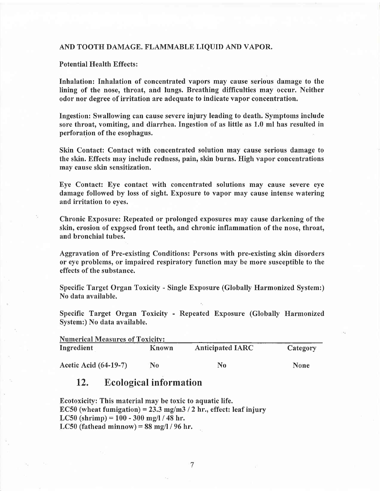#### AND TOOTH DAMAGE. FLAMMABLE LIQUID AND VAPOR.

Potential Health Effects :

Inhalation: Inhalation of concentrated vapors may cause serious damage to the lining of the nose, throat, and lungs. Breathing difficulties may occur. Neither odor nor degree of irritation are adequate to indicate vapor concentration.

Ingestion: Swallowing can cause severe injury leading to death. Symptoms include sore throat, vomiting, and diarrhea. Ingestion of as little as 1.0 ml has resulted in perforation of the esophagus.

Skin Contact: Contact with concentrated solution may cause serious damage to the skin. Effects may include redness, pain, skin burns. High vapor concentrations may cause skin sensitization,

Eye Contact: Eye contact with concentrated solutions may cause severe eye damage followed by loss of sight. Exposure to vapor may cause intense watering and irritation to eyes.

Chronic Exposure: Repeated or prolonged exposures may cause darkening of the skin, erosion of expgsed front teeth, and chronic inflammation of the nose, throat, and bronchial tubes.

Aggravation of Pre-existing Conditions: Persons with pre-existing skin disorders or eye problems, or impaired respiratory function may be more susceptible to the effects of the substance.

Specific Target Organ Toxicity - Single Exposure (Globally Harmonized System:) No data available.

Specific Target Organ Toxicity - Repeated Exposure (Globally Harmonized System:) No data available.

| <b>Numerical Measures of Toxicity:</b> |       |                         |             |  |  |  |
|----------------------------------------|-------|-------------------------|-------------|--|--|--|
| Ingredient                             | Known | <b>Anticipated IARC</b> | Category    |  |  |  |
| <b>Acetic Acid (64-19-7)</b>           | No    | No                      | <b>None</b> |  |  |  |

#### 12. Ecological information

Ecotoxicity: This material may be toxic to aquatic life. EC50 (wheat fumigation) = 23.3 mg/m3 / 2 hr., effect: leaf injury LC50 (shrimp) =  $100 - 300$  mg/l / 48 hr. LC50 (fathead minnow) =  $88 \text{ mg/l}$  / 96 hr.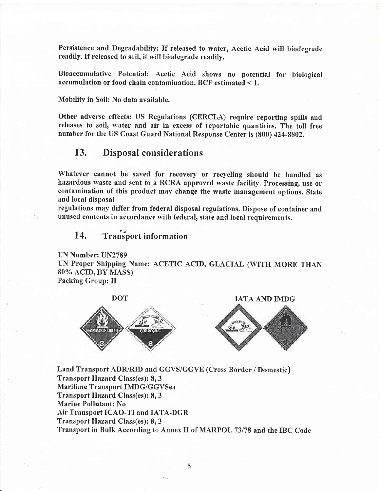Persistence and Degradabilify: If released to water, Acetic Acid will biodegrade readily. If released to soil, it will biodegrade readily.

Bioaccumulative Potential: Acetic Acid shows no potential for biological accumulation or food chain contamination. BCF estimated < 1.

Mobility in Soil: No data available.

Other adverse effects: US Regulations (CERCLA) require reporting spills and releases to soil, water and air in excess of reportable quantities. The toll free number for the US Coast Guard National Response Center is (800) 424-8802,

#### 13. Disposal considerations

Whatever cannot be saved for recovery or recycling should be handled as hazardous waste and sent to a RCRA approved waste facility. Processing, use or contamination of this product may change the waste management options. State and local disposal

regulations may differ from federal disposal regulations. Dispose of container and unused contents in accordance with federal, state and local requirements.

#### 14. Transport information

UN Number: UN2789 UN Proper Shipping Name: ACETIC ACID, GLACIAL (WITH MORE THAN 80% ACID, BY MASS) Packing Group: II



IATA AND IMDG



Land Transport ADR/RID and GGVS/GGVE (Cross Border / Domestic) Transport Hazard, Class(es): 8,3 Maritime Transport IMDG/GGVSea Transport Hazard Class(es): 8, 3 Marine Pollutant: No Air Transport ICAO.TI and IATA-DGR Transport Hazard Class(es): 8,3 Transport in Bulk According to Annex II of MARPOL 73178 and the IBC Code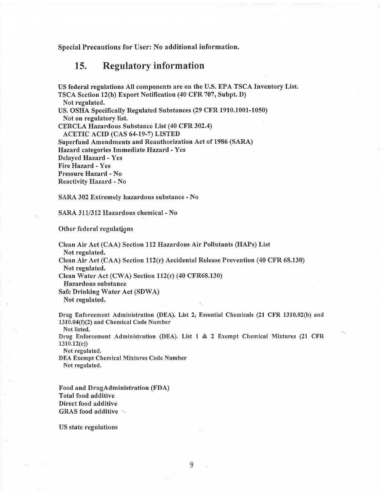Special Precautions for User: No additional information.

#### 15. Regulatory information

US federal regulations All components are on the U.S. EPA TSCA Inventory List. TSCA Section 12(b) Export Notification (40 CFR 707, Subpt. D) Not regulated. US. OSHA Specifically Regulated Substances (29 CFR 1910.1001-1050) Not on regulatory list. CERCLA Hazardous Substance List (40 CFR 302.4) ACETIC ACID (CAS 64-19-7) LISTED Superfund Amendments and Reauthorization Act of 1986 (SARA) Hazard categories Immediate Hazard - Yes Delayed Hazard - Yes Fire Hazard - Yes Pressure Hazard - No Reactivity Hazard - No

SARA 302 Extremely hazardous substance - No

SARA 311/312 Hazardous chemical - No

Other federal regulations

Clean Air Act (CAA) Section Ll2Hazardous Air Pollutants (HAPs) List Not regulated.

Clean Air Act (CAA) Section ll2(r) Accidental Release Prevention (40 CFR 68.130) Not regulated.

Clean Water Act (CWA) Section 112(r) (40 CFR68.130)

Hazardous substance

Safe Drinking Water Act (SDWA) Not regulated.

Drug Enforcement Administration (DEA). List 2, Essential Chemicals (21 CFR 1310.02(b) and  $1310.04(f)(2)$  and Chemical Code Number

Not listed.

Drug Enforcement Administration (DEA). List 1 & 2 Exempt Chemical Mixtures (21 CFR 1310,12(c))

Not regulated.

DEA Exempt Chemical Mixtures Code Number Not regulated,

Food and DrugAdministration (FDA) Total food additive Direct food additive GRAS food additive  $\cdots$ 

US state regulations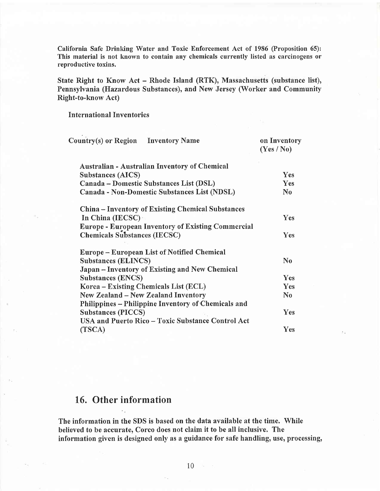California Safe Drinking Water and Toxic Enforcement Act of 1986 @roposition 65): This material is not known to contain any chemicals currently listed as carcinogens or reproductive toxins.

State Right to Know Act - Rhode Island (RTK), Massachusetts (substance list), Pennsylvania (Hazardous Substances), and New Jersey (Worker and Community Right-to-know Act)

International fnventories

| Country(s) or Region Inventory Name                       | on Inventory<br>(Yes / No) |
|-----------------------------------------------------------|----------------------------|
| Australian - Australian Inventory of Chemical             |                            |
| <b>Substances (AICS)</b>                                  | Yes                        |
| Canada – Domestic Substances List (DSL)                   | Yes                        |
| Canada - Non-Domestic Substances List (NDSL)              | $\bf No$                   |
| China – Inventory of Existing Chemical Substances         |                            |
| In China (IECSC)                                          | Yes                        |
| <b>Europe - European Inventory of Existing Commercial</b> |                            |
| <b>Chemicals Substances (IECSC)</b>                       | Yes                        |
| Europe – European List of Notified Chemical               |                            |
| <b>Substances (ELINCS)</b>                                | N <sub>0</sub>             |
| Japan – Inventory of Existing and New Chemical            |                            |
| <b>Substances (ENCS)</b>                                  | Yes                        |
| Korea – Existing Chemicals List (ECL)                     | Yes                        |
| <b>New Zealand – New Zealand Inventory</b>                | $\bf No$                   |
| Philippines - Philippine Inventory of Chemicals and       |                            |
| <b>Substances (PICCS)</b>                                 | Yes                        |
| USA and Puerto Rico - Toxic Substance Control Act         |                            |
| (TSCA)                                                    | Yes                        |
|                                                           |                            |

#### 16. Other information

The information in the SDS is based on the data available at the time. While believed to be accurate, Corco does not claim it to be all inclusive. The information given is designed only as a guidance for safe handling, use, processing,